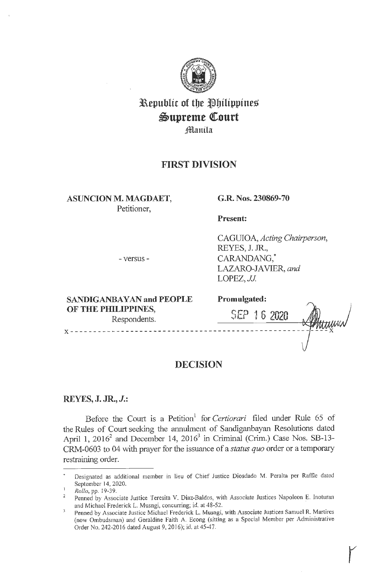

**3aepublir of tbe tlbilippines**   $\mathfrak{Supreme}$  Court **Jlflanila** 

# **FIRST DIVISION**

**ASUNCION M. MAGDAET,**  Petitioner,

## **G.R. Nos. 230869-70**

**Present:** 

CAGUIOA, *Acting Chairperson,*  REYES, J. JR., CARANDANG,\* LAZARO-JAVIER, *and*  LOPEZ, JJ.

- versus -

| c<br>. . |  |  |  |
|----------|--|--|--|
|          |  |  |  |

| <b>SANDIGANBAYAN and PEOPLE</b>     | Promulgated: |  |
|-------------------------------------|--------------|--|
| OF THE PHILIPPINES,<br>Respondents. | SEP 16 2020  |  |
|                                     |              |  |

**r** 

# **DECISION**

# **REYES, J. JR., J.:**

Before the Court is a Petition<sup>1</sup> for *Certiorari* filed under Rule 65 of the Rules of Court seeking the annulment of Sandiganbayan Resolutions dated April 1, 2016<sup>2</sup> and December 14, 2016<sup>3</sup> in Criminal (Crim.) Case Nos. SB-13-CRM-0603 to 04 with prayer for the issuance of a *status quo* order or a temporary restraining order.

Designated as additional member in lieu of Chief Justice Diosdado M. Peralta per Raffle dated September 14, 2020.

*Rollo,* pp. 19-39.

Penned by Associate Justice Teresita V. Diaz-Baldos, with Associate Justices Napoleon E. Inoturan  $2^{\circ}$ and Michael Frederick L. Musngi, concurring; id. at 48-52.

 $\overline{3}$ Penned by Associate Justice Michael Frederick L. Musngi, with Associate Justices Samuel R. Martires (now Ombudsman) and Geraldine Faith A. Econg (sitting as a Special Member per Administrative Order No. 242-2016 dated August 9, 2016); id. at 45-47.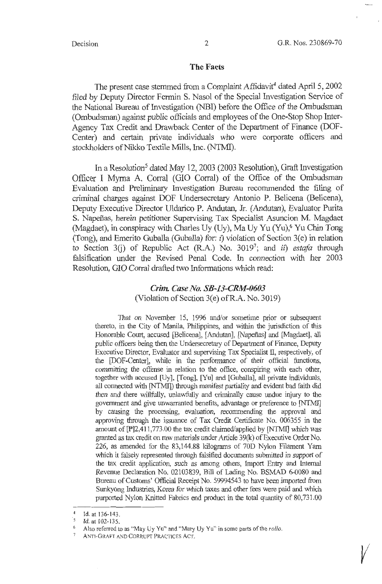$\sqrt{ }$ 

#### **The Facts**

The present case stemmed from a Complaint Affidavit<sup>4</sup> dated April 5, 2002 filed by Deputy Director Fermin S. Nasol of the Special Investigation Service of the National Bureau of Investigation (NBI) before the Office of the Ombudsman (Ombudsman) against public officials and employees of the One-Stop Shop Inter-Agency Tax Credit and Drawback Center of the Department of Finance (DOF-Center) and certain private individuals who were corporate officers and stockholders of Nikko Textile Mills, Inc. (NTMI).

In a Resolution<sup>5</sup> dated May 12, 2003 (2003 Resolution), Graft Investigation Officer I Myrna A. Corral (GIO Corral) of the Office of the Ombudsman Evaluation and Preliminary Investigation Bureau recommended the filing of criminal charges against DOF Undersecretary Antonio **P.** Belicena (Belicena), Deputy Executive Director Uldarico P. Andutan, Jr. (Andutan), Evaluator Purita S. Napeñas, herein petitioner Supervising Tax Specialist Asuncion M. Magdaet (Magdaet), in conspiracy with Charles Uy (Uy), Ma Uy Yu (Yu),<sup>6</sup> Yu Chin Tong (Tong), and Emerito Guballa (Guballa) for:  $i$ ) violation of Section 3(e) in relation to Section 3(j) of Republic Act (R.A.) No. 3019<sup>7</sup>; and *ii*) estafa through falsification under the Revised Penal Code. In connection with her 2003 Resolution, GIO Corral drafted two Informations which read:

# *Crim Case No. SB-13-CRM-0603*  (Violation of Section 3(e) ofR.A. No. 3019)

That on November 15, 1996 and/or sometime prior or subsequent thereto, in the City of Manila, Philippines, and within the jurisdiction of this Honorable Court, accused [Belicena], [Andutan], [Napeñas] and [Magdaet], all public officers being then the Undersecretary of Department of Finance, Deputy Executive Director, Evaluator and supervising Tax Specialist II, respectively, of the [DOF-Center], while in the perfonnance of their official functions, committing the offense in relation to the office, conspiring with each other, together with accused [Uy], [Tong], [Yu] and [Guballa], all private individuals, all connected with [NTMI]) through manifest partiality and evident bad faith did then and there willfully, unlawfully and criminally cause undue injury to the government and give unwarranted benefits, advantage or preference to [NTMI] by causing the processing, evaluation, recommending the approval and approving through the issuance of Tax Credit Certificate No. 006355 in the amount of [P]2,411,773.00 the tax credit claimed/applied by [NTMI] which was granted as tax credit on raw materials under Article 39(k) of Executive Order No. 226, as amended for the 83,144.88 kilograms of 70D Nylon Filament Yam which it falsely represented through falsified documents submitted in support of the tax credit application, such as among others, Import Entry and Internal Revenue Declaration No. 02103839, Bill of Lading No. BSMAD 6-0080 and Bureau of Customs' Official Receipt No. 59994543 to have been imported from Sunkyong Industries, Korea for which taxes and other fees were paid and which purported Nylon Knitted Fabrics end product in the total quantity of 80,731.00

 $^{4}$  Id. at 136-143.

Id. at 102-135.

<sup>6</sup> Also referred to as "May Uy Yu" and "Mary Uy Yu" in some parts of the *rollo.* 

ANTI-GRAFT AND CORRUPT PRACTICES ACT.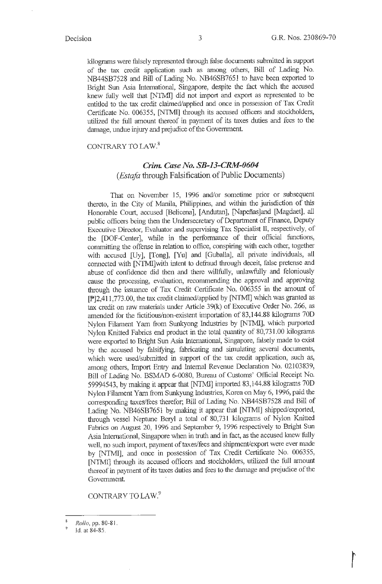kilograms were falsely represented through false documents submitted in support of the tax credit application such as among others, Bill of Lading No. NB44SB7528 and Bill of Lading No. NB46SB7651 to have been exported to Bright Sun Asia International, Singapore, despite the fact which the accused knew fully well that [NTMI] did not import and export as represented to be entitled to the tax credit claimed/applied and once in possession of Tax Credit Certificate No. 006355, [NT.MI] through its accused officers and stockholders, utilized the foll amount thereof in payment of its taxes duties and fees to the damage, undue injury and prejudice of the Government.

## CONTRARY TO LAW.<sup>8</sup>

## *Crim. Case No. SB-13-CRM-0604 (Esta/a* through Falsification of Public Documents)

That on November 15, 1996 and/or sometime prior or subsequent thereto, in the City of Manila, Philippines, and within the jurisdiction of this Honorable Court, accused [Belicena], [Andutan], [Napeñas]and [Magdaet], all public officers being then the Undersecretary of Department of Finance, Deputy Executive Director, Evaluator and supervising Tax Specialist II, respectively, of the [DOF-Center], while in the performance of their official functions, committing the offense in relation to office, conspiring with each other, together with accused [Uy], [Tong], [Yu) and [Guballa], all private individuals, all connected with [NTMI]with intent to defraud through deceit, false pretense and abuse of confidence did then and there willfully, unlawfully and feloniously cause the processing, evaluation, reconunending the approval and approving through the issuance of Tax Credit Certificate No. 006355 in the amount of  $[P]2,411,773.00$ , the tax credit claimed/applied by [NTMI] which was granted as tax credit on raw materials under Article  $39(k)$  of Executive Order No. 266, as amended for the fictitious/non-existent imp011ation of 83,144.88 kilograms 70D Nylon Filament Yarn from Sunkyong Industries by [NTMI], which purported Nylon Knitted Fabrics end product in the total quantity of 80,731.00 kilograms were exported to Bright Sun Asia International, Singapore, falsely made to exist by the accused by falsifying, fabricating and simulating several documents, which were used/submitted in support of the tax credit application, such as, among others, Import Entry and Internal Revenue Declaration No. 02103839, Bill of Lading No. BSMAD 6-0080, Bureau of Customs' Official Receipt No. 59994543, by making it appear that [NTMI] imported 83,144.88 kilograms 70D Nylon Filament Yam from Sunkyung Industries, Korea on May 6, 1996, paid the corresponding taxes/fees therefor; Bill of Lading No. NB44SB7528 and Bill of Lading No. NB46SB7651 by making it appear that [NTMI] shipped/exported, through vessel Neptune Beryl a total of 80,731 kilograms of Nylon Knitted Fabrics on August 20, 1996 and September 9, 1996 respectively to Bright Sun Asia International, Singapore when in truth and in fact, as the accused knew folly well, no such import, payment of taxes/fees and shipment/export were ever made by [NTMI], and once in possession of Tax Credit Certificate No. 006355, [NTMI] through its accused officers and stockholders, utilized the full amount thereof in payment of its taxes duties and fees to the damage and prejudice of the Government.

CONTRARY TO LAW<sup>9</sup>

<sup>8</sup>*Rollo,* pp. 80-81.

<sup>9</sup>ld. at 84-85.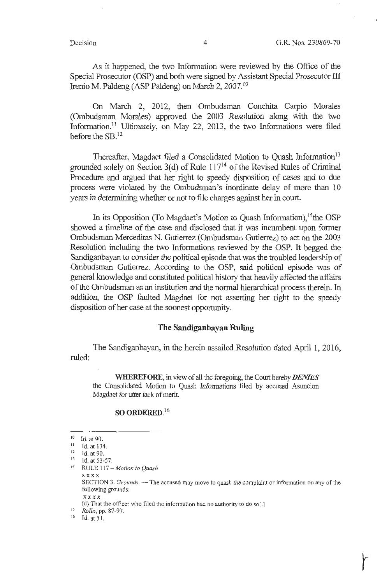---------------

As it happened, the two Information were reviewed by the Office of the Special Prosecutor (OSP) and both were signed by Assistant Special Prosecutor III Irenio M. Paldeng (ASP Paldeng) on March 2, 2007.<sup>10</sup>

On March 2, 2012, then Ombudsman Conchita Carpio Morales (Ombudsman Morales) approved the 2003 Resolution along with the two Information.<sup>11</sup> Ultimately, on May 22, 2013, the two Informations were filed before the SB.<sup>12</sup>

Thereafter, Magdaet filed a Consolidated Motion to Quash Information<sup>13</sup> grounded solely on Section 3(d) of Rule  $117<sup>14</sup>$  of the Revised Rules of Criminal Procedure and argued that her right to speedy disposition of cases and to due process were violated by the Ombudsman's inordinate delay of more than 10 years in determining whether or not to file charges against her in court.

In its Opposition (To Magdaet's Motion to Quash Information),  $15$ the OSP showed a timeline of the case and disclosed that it was incumbent upon former Ombudsman Merceditas N. Gutierrez (Ombudsman Gutierrez) to act on the 2003 Resolution including the two Informations reviewed by the OSP. It begged the Sandiganbayan to consider the political episode that was the troubled leadership of Ombudsman Gutierrez. According to the OSP, said political episode was of general knowledge and constituted political history that heavily affected the affairs of the Ombudsman as an institution and the normal hierarchical process therein. In addition, the OSP faulted Magdaet for not asserting her right to the speedy disposition of her case at the soonest opportunity.

### **The Sandiganbayan Ruling**

The Sandiganbayan, in the herein assailed Resolution dated April 1, 2016, ruled:

**WHEREFORE,** in view of all the foregoing, the Court hereby *DEMES*  the Consolidated Motion to Quash Informations filed by accused Asuncion Magdaet for utter lack of merit.

#### **SO ORDERED. <sup>16</sup>**

Id. at 53-57.

 $10$  Id. at 90.

<sup>&</sup>lt;sup>11</sup> Id. at 134.<br><sup>12</sup> Id. at 90.<br><sup>13</sup> Id. at 53.5

<sup>&</sup>lt;sup>14</sup> RULE 117 - *Motion to Quash* **xxxx**  SECTION 3. *Grounds*. — The accused may move to quash the complaint or information on any of the following grounds: **xxxx** 

<sup>(</sup>d) That the officer who filed the information had no authority to do so(.]

<sup>15</sup> *Rollo*, pp. 87-97.

<sup>16</sup> Id. at 51.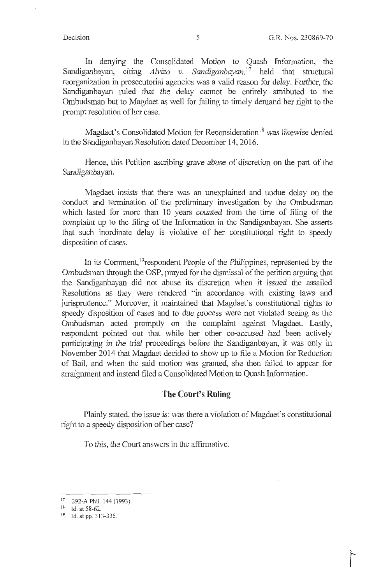In denying the Consolidated Motion to Quash Information, the Sandiganbayan, citing *Alvizo v. Sandiganbayan*,<sup>17</sup> held that structural reorganization in prosecutorial agencies was a valid reason for delay. Further, the Sandiganbayan ruled that the delay cannot be entirely attributed to the Ombudsman but to Magdaet as well for failing to timely demand her right to the prompt resolution of her case.

Magdaet's Consolidated Motion for Reconsideration<sup>18</sup> was likewise denied in the Sandiganbayan Resolution dated December 14, 2016.

Hence, this Petition ascribing grave abuse of discretion on the part of the Sandiganbayan.

Magdaet insists that there was an unexplained and undue delay on the conduct and termination of the preliminary investigation by the Ombudsman which lasted for more than 10 years counted from the time of filing of the complaint up to the filing of the Information in the Sandiganbayan. She asserts that such inordinate delay is violative of her constitutional right to speedy disposition of cases.

In its Comment, <sup>19</sup> respondent People of the Philippines, represented by the Ombudsman through the OSP, prayed for the dismissal of the petition arguing that the Sandiganbayan did not abuse its discretion when it issued the assailed Resolutions as they were rendered "in accordance with existing laws and jurisprudence." Moreover, it maintained that Magdaet's constitutional rights to speedy disposition of cases and to due process were not violated seeing as the Ombudsman acted promptly on the complaint against Magdaet. Lastly, respondent pointed out that while her other co-accused had been actively participating in the trial proceedings before the Sandiganbayan, it was only in November 2014 that Magdaet decided to show up to file a Motion for Reduction of Bail, and when the said motion was granted, she then failed to appear for arraignment and instead filed a Consolidated Motion to Quash Information.

### **The Court's Ruling**

Plainly stated, the issue is: was there a violation of Magdaet's constitutional right to a speedy disposition of her case?

To this, the Court answers in the affirmative.

<sup>&</sup>lt;sup>17</sup> 292-A Phil. 144 (1993).

<sup>18</sup> Id. at 58-62.

<sup>19</sup> Id. at pp. 3 13-336.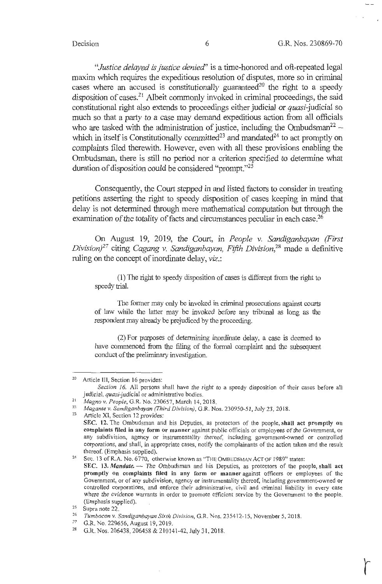*"Justice delayed is justice denied'* is a time-honored and oft-repeated legal maxim which requires the expeditious resolution of disputes, more so in criminal cases where an accused is constitutionally guaranteed<sup>20</sup> the right to a speedy disposition of cases.<sup>21</sup> Albeit commonly invoked in criminal proceedings, the said constitutional right also extends to proceedings either judicial or quasi-judicial so much so that a party to a case may demand expeditious action from all officials who are tasked with the administration of justice, including the Ombudsman<sup>22</sup> – which in itself is Constitutionally committed<sup>23</sup> and mandated<sup>24</sup> to act promptly on complaints filed therewith. However, even with all these provisions enabling the Ombudsman, there is still no period nor a criterion specified to determine what duration of disposition could be considered "prompt."25

Consequently, the Court stepped in and listed factors to consider in treating petitions asserting the right to speedy disposition of cases keeping in mind that delay is not determined through mere mathematical computation but through the examination of the totality of facts and circumstances peculiar in each case.<sup>26</sup>

On August 19, 2019, the Court, in *People v. Sandiganbayan {First Division*<sup>27</sup> citing *Cagang v. Sandiganbayan, Fifth Division*<sup>28</sup> made a definitive ruling on the concept of inordinate delay, *viz.:* 

(1) The right to speedy disposition of cases is different from the right to speedy trial.

The former may only be invoked in criminal prosecutions against courts of law while the latter may be invoked before any tribunal as long as the respondent may already be prejudiced by the proceeding.

(2) For purposes of determining inordinate delay, a case is deemed to have commenced from the filing of the formal complaint and the subsequent conduct of the preliminary investigation.

<sup>27</sup>G.R. No. 229656, August 19, 2019.

<sup>20</sup> Article Ill, Section 16 provides:

*Section 16.* All persons shall have the right to a speedy disposition of their cases before all judicial, quasi-judicial or administrative bodies.

<sup>&</sup>lt;sup>21</sup> *Magno v. People, G.R. No. 230657, March 14, 2018.*<br><sup>22</sup> *Magante v. Sandiganbayan (Third Division), G.R. Nos. 230950-51, July 23, 2018.*<br>23 Article XI, Section 12 provides: **SEC. 12.** The Ombudsman and his Deputies, as protectors of the people, **shall act promptly on complaints filed in any form or manner** against public officials or employees of the Government, or any subdivision, agency or instrumentality thereof, including government-owned or controlled corporations, and shall, in appropriate cases, notify the complainants of the action taken and the result thereof. (Emphasis supplied).<br><sup>24</sup> Sec. 13 of R.A. No. 6770, otherwise known as "THE OMBUDSMAN ACT OF 1989" states:

SEC. 13. Mandate. -- The Ombudsman and his Deputies, as protectors of the people, shall act **promptly on complaints filed in any form or manner** against officers or employees of the Government, or of any subdivision, agency or instrumentality thereof, including government-owned or controlled corporations, and enforce their administrative, civil and criminal liability in every case where the evidence warrants in order to promote efficient service by the Government to the people.

<sup>(</sup>Emphasis supplied). 25 Supra note 22. 26 *Tumbocon* v. *Sandiganbayan Sixth Division,* G.R. Nos. 23S412-15, November 5, 2018.

<sup>&</sup>lt;sup>28</sup> G.R. Nos. 206438, 206458 & 210141-42, July 31, 2018.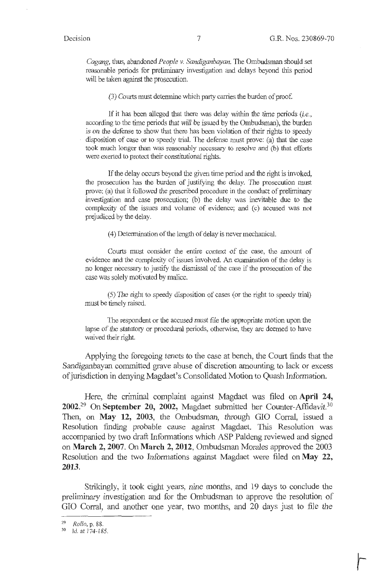*Cagang,* thus, abandoned *People v. Sandiganhayan.* The Ombudsman should set reasonable periods for preliminary investigation and delays beyond this period will be taken against the prosecution.

 $(3)$  Courts must determine which party carries the burden of proof.

If it has been alleged that there was delay within the time periods *(i.e.,*  according to the time periods that will be issued by the Ombudsman), the burden is on the defense to show that there has been violation of their rights to speedy disposition of case or to speedy trial. The defense must prove: (a) that the case took much longer than was reasonably necessary to resolve and (b) that efforts were exerted to protect their constitutional rights.

If the delay occurs beyond the given time period and the right is invoked, the prosecution has the burden of justifying the delay. The prosecution must prove: (a) that it followed the prescribed procedure in the conduct of preliminary investigation and case prosecution; (b) the delay was inevitable due to the complexity of the issues and volume of evidence; and (c) accused was not prejudiced by the delay.

(4) Determination of the length of delay is never mechanical.

Courts must consider the entire context of the case, the amount of evidence and the complexity of issues involved. An examination of the delay is no longer necessruy to justify the dismissal of the case if the prosecution of the case was solely motivated by malice.

(5) The right to speedy disposition of cases (or the right to speedy trial) must be timely raised.

The respondent or the accused must file the appropriate motion upon the lapse of the statutory or procedmal periods, otherwise, they are deemed to have waived their right.

Applying the foregoing tenets to the case at bench, the Court finds that the Sandiganbayan committed grave abuse of discretion amounting to lack or excess of jurisdiction in denying Magdaet's Consolidated Motion to Quash Information.

Here, the criminal complaint against Magdaet was filed on **April 24, 2002.29 On September 20, 2002,** Magdaet submitted her Counter-Affidavit.30 Then, on May 12, 2003, the Ombudsman, through GIO Corral, issued a Resolution finding probable cause against Magdaet. This Resolution was accompanied by two draft Informations which ASP Paldeng reviewed and signed on **March 2, 2007. On March 2, 2012,** Ombudsman Morales approved the 2003 Resolution and the two Informations against Magdaet were filed on **May 22**, **2013.** 

Strikingly, it took eight years, nine months, and 19 days to conclude the preliminary investigation and for the Ombudsman to approve the resolution of GIO Corral, and another one year, two months, and 20 days just to file the

<sup>29</sup>*Rollo,* p. 88.

<sup>30</sup> Id. at 174-185.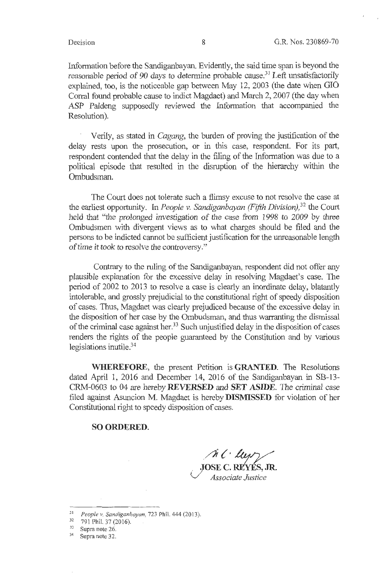l '

Information before the Sandiganbayan. Evidently, the said time span is beyond the reasonable period of 90 days to determine probable cause.<sup>31</sup> Left unsatisfactorily explained, too, is the noticeable gap between May 12, 2003 (the date when GIO Corral found probable cause to indict Magdaet) and March 2, 2007 (the day when ASP Paldeng supposedly reviewed the Information that accompanied the Resolution).

Verily, as stated in *Cagang,* the burden of proving the justification of the delay rests upon the prosecution, or in this case, respondent. For its part, respondent contended that the delay in the filing of the Information was due to a political episode that resulted in the disruption of the hierarchy within the Ombudsman.

The Court does not tolerate such a flimsy excuse to not resolve the case at the earliest opportunity. In *People v. Sandiganbayan (Fifth Division),*  32 the Court held that "the prolonged investigation of the case from 1998 to 2009 by three Ombudsmen with divergent views as to what charges should be filed and the persons to be indicted cannot be sufficient justification for the unreasonable length of time it took to resolve the controversy."

Contrary to the ruling of the Sandiganbayan, respondent did not offer any plausible explanation for the excessive delay in resolving Magdaet's case. The period of 2002 to 2013 to resolve a case is clearly an inordinate delay, blatantly intolerable, and grossly prejudicial to the constitutional right of speedy disposition of cases. Thus, Magdaet was clearly prejudiced because of the excessive delay in the disposition of her case by the Ombudsman, and thus warranting the dismissal of the criminal case against her.<sup>33</sup> Such unjustified delay in the disposition of cases renders the rights of the people guaranteed by the Constitution and by various legislations inutile. 34

**WHEREFORE,** the present Petition is **GRANTED.** The Resolutions dated April 1, 2016 and December 14, 2016 of the Sandiganbayan in SB-13-CRM-0603 to 04 are hereby **REVERSED and SET ASIDE.** The criminal case filed against Asuncion M. Magdaet is hereby **DISMISSED** for violation of her Constitutional right to speedy disposition of cases.

#### **SO ORDERED.**

 $\bigwedge^k$  ( lup  $\bigvee$ 

. **JOSE C. REYES, JR.**  (J *Associate Justice* 

- <sup>31</sup> People v. Sandiganbayan, 723 Phil. 444 (2013)<br><sup>32</sup> 791 Phil. 37 (2016).
- 
- $\frac{33}{34}$  Supra note 26. Supra note 32.
-